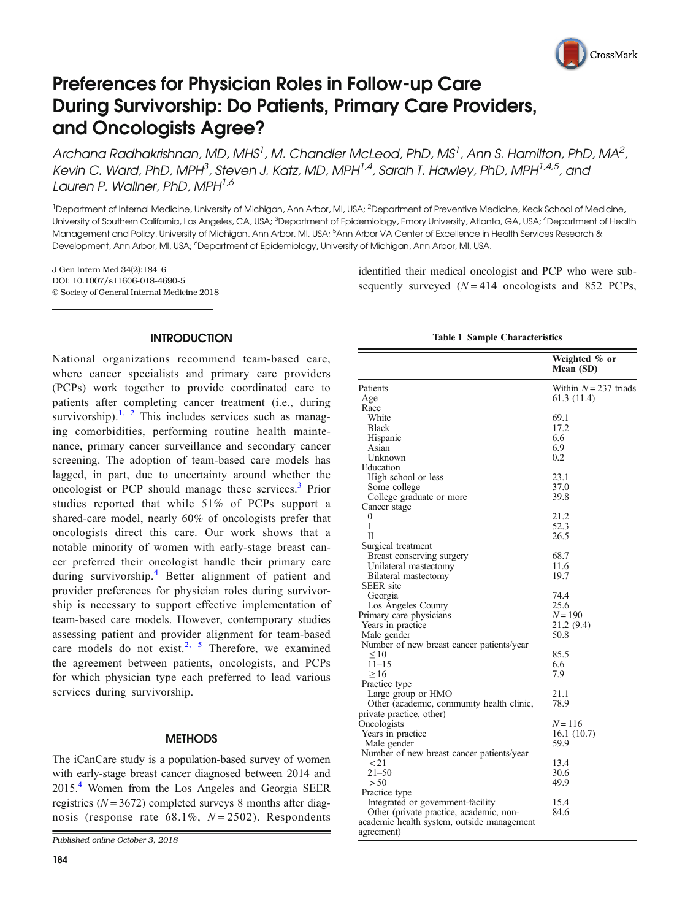

# <span id="page-0-0"></span>Preferences for Physician Roles in Follow-up Care During Survivorship: Do Patients, Primary Care Providers, and Oncologists Agree?

Archana Radhakrishnan, MD, MHS $^{\dagger}$ , M, Chandler McLeod, PhD, MS $^{\dagger}$ , Ann S, Hamilton, PhD, MA $^2$ , Kevin C, Ward, PhD, MPH<sup>3</sup>, Steven J, Katz, MD, MPH<sup>1,4</sup>, Sarah T, Hawley, PhD, MPH<sup>1,4,5</sup>, and Lauren P. Wallner, PhD, MPH<sup>1,6</sup>

<sup>1</sup>Department of Internal Medicine, University of Michigan, Ann Arbor, MI, USA; <sup>2</sup>Department of Preventive Medicine, Keck School of Medicine, University of Southern Califomia, Los Angeles, CA, USA; <sup>3</sup>Department of Epidemiology, Emory University, Atlanta, GA, USA; <sup>4</sup>Department of Health Management and Policy, University of Michigan, Ann Arbor, MI, USA; <sup>5</sup>Ann Arbor VA Center of Excellence in Health Services Research & Development, Ann Arbor, MI, USA; <sup>6</sup>Department of Epidemiology, University of Michigan, Ann Arbor, MI, USA.

J Gen Intern Med 34(2):184–6 DOI: 10.1007/s11606-018-4690-5 © Society of General Internal Medicine 2018 identified their medical oncologist and PCP who were subsequently surveyed  $(N = 414$  oncologists and 852 PCPs,

# **INTRODUCTION**

National organizations recommend team-based care, where cancer specialists and primary care providers (PCPs) work together to provide coordinated care to patients after completing cancer treatment (i.e., during survivorship).<sup>[1, 2](#page-2-0)</sup> This includes services such as managing comorbidities, performing routine health maintenance, primary cancer surveillance and secondary cancer screening. The adoption of team-based care models has lagged, in part, due to uncertainty around whether the oncologist or PCP should manage these services.[3](#page-2-0) Prior studies reported that while 51% of PCPs support a shared-care model, nearly 60% of oncologists prefer that oncologists direct this care. Our work shows that a notable minority of women with early-stage breast cancer preferred their oncologist handle their primary care during survivorship.<sup>[4](#page-2-0)</sup> Better alignment of patient and provider preferences for physician roles during survivorship is necessary to support effective implementation of team-based care models. However, contemporary studies assessing patient and provider alignment for team-based care models do not exist.<sup>[2](#page-2-0), [5](#page-2-0)</sup> Therefore, we examined the agreement between patients, oncologists, and PCPs for which physician type each preferred to lead various services during survivorship.

### **METHODS**

The iCanCare study is a population-based survey of women with early-stage breast cancer diagnosed between 2014 and 2015[.4](#page-2-0) Women from the Los Angeles and Georgia SEER registries ( $N = 3672$ ) completed surveys 8 months after diagnosis (response rate  $68.1\%$ ,  $N = 2502$ ). Respondents

Published online October 3, 2018

|  |  | <b>Table 1 Sample Characteristics</b> |
|--|--|---------------------------------------|
|--|--|---------------------------------------|

|                                                                              | Weighted % or<br>Mean (SD) |
|------------------------------------------------------------------------------|----------------------------|
| Patients                                                                     | Within $N = 237$ triads    |
| Age                                                                          | 61.3 (11.4)                |
| Race                                                                         |                            |
| White                                                                        | 69.1                       |
| <b>Black</b>                                                                 | 17.2                       |
| Hispanic                                                                     | 6.6                        |
| Asian                                                                        | 6.9                        |
| Unknown                                                                      | 0.2                        |
| Education                                                                    |                            |
| High school or less                                                          | 23.1                       |
| Some college                                                                 | 37.0                       |
| College graduate or more                                                     | 39.8                       |
| Cancer stage                                                                 |                            |
| 0                                                                            | 21.2                       |
| Ī                                                                            | 52.3                       |
| П                                                                            | 26.5                       |
| Surgical treatment                                                           |                            |
| Breast conserving surgery                                                    | 68.7                       |
| Unilateral mastectomy                                                        | 11.6                       |
| Bilateral mastectomy                                                         | 19.7                       |
| <b>SEER</b> site                                                             |                            |
| Georgia                                                                      | 74.4                       |
| Los Angeles County                                                           | 25.6                       |
| Primary care physicians                                                      | $N = 190$                  |
| Years in practice                                                            | 21.2 (9.4)                 |
| Male gender                                                                  | 50.8                       |
| Number of new breast cancer patients/year                                    |                            |
| ${}< 10$                                                                     | 85.5                       |
| $11 - 15$                                                                    | 6.6                        |
| $\geq$ 16                                                                    | 7.9                        |
| Practice type                                                                |                            |
| Large group or HMO                                                           | 21.1                       |
| Other (academic, community health clinic,                                    | 78.9                       |
| private practice, other)                                                     |                            |
| Oncologists                                                                  | $N = 116$                  |
| Years in practice                                                            | 16.1(10.7)                 |
| Male gender                                                                  | 59.9                       |
| Number of new breast cancer patients/year                                    |                            |
| $21$                                                                         | 13.4                       |
| $21 - 50$                                                                    | 30.6                       |
| > 50                                                                         | 49.9                       |
| Practice type                                                                |                            |
|                                                                              | 15.4                       |
| Integrated or government-facility<br>Other (private practice, academic, non- | 84.6                       |
| academic health system, outside management                                   |                            |
|                                                                              |                            |
| agreement)                                                                   |                            |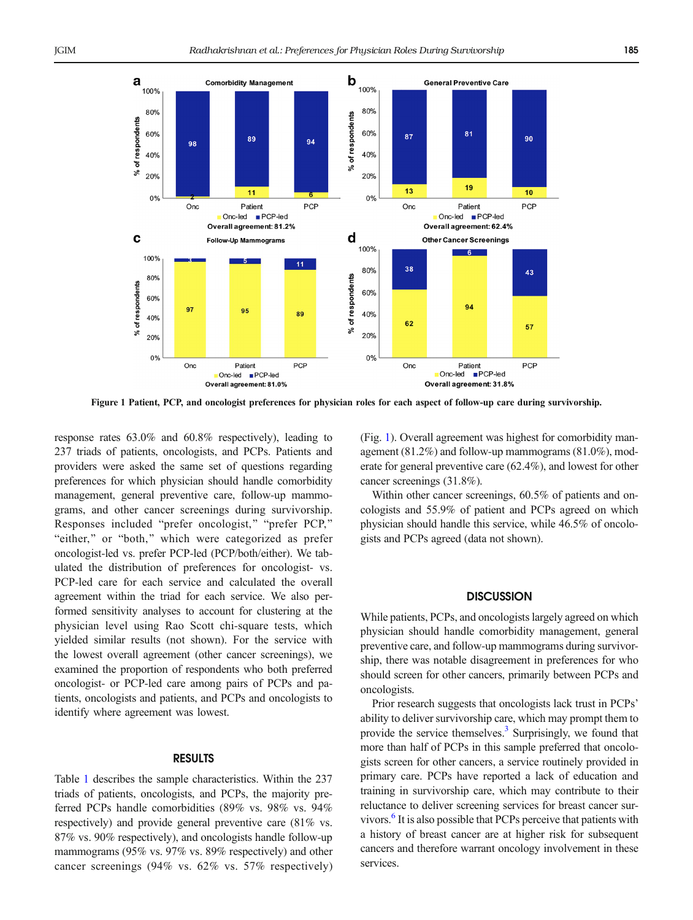

Figure 1 Patient, PCP, and oncologist preferences for physician roles for each aspect of follow-up care during survivorship.

response rates 63.0% and 60.8% respectively), leading to 237 triads of patients, oncologists, and PCPs. Patients and providers were asked the same set of questions regarding preferences for which physician should handle comorbidity management, general preventive care, follow-up mammograms, and other cancer screenings during survivorship. Responses included "prefer oncologist," "prefer PCP," "either," or "both," which were categorized as prefer oncologist-led vs. prefer PCP-led (PCP/both/either). We tabulated the distribution of preferences for oncologist- vs. PCP-led care for each service and calculated the overall agreement within the triad for each service. We also performed sensitivity analyses to account for clustering at the physician level using Rao Scott chi-square tests, which yielded similar results (not shown). For the service with the lowest overall agreement (other cancer screenings), we examined the proportion of respondents who both preferred oncologist- or PCP-led care among pairs of PCPs and patients, oncologists and patients, and PCPs and oncologists to identify where agreement was lowest.

# RESULTS

Table [1](#page-0-0) describes the sample characteristics. Within the 237 triads of patients, oncologists, and PCPs, the majority preferred PCPs handle comorbidities (89% vs. 98% vs. 94% respectively) and provide general preventive care (81% vs. 87% vs. 90% respectively), and oncologists handle follow-up mammograms (95% vs. 97% vs. 89% respectively) and other cancer screenings (94% vs. 62% vs. 57% respectively)

(Fig. 1). Overall agreement was highest for comorbidity management (81.2%) and follow-up mammograms (81.0%), moderate for general preventive care (62.4%), and lowest for other cancer screenings (31.8%).

Within other cancer screenings, 60.5% of patients and oncologists and 55.9% of patient and PCPs agreed on which physician should handle this service, while 46.5% of oncologists and PCPs agreed (data not shown).

## **DISCUSSION**

While patients, PCPs, and oncologists largely agreed on which physician should handle comorbidity management, general preventive care, and follow-up mammograms during survivorship, there was notable disagreement in preferences for who should screen for other cancers, primarily between PCPs and oncologists.

Prior research suggests that oncologists lack trust in PCPs' ability to deliver survivorship care, which may prompt them to provide the service themselves.<sup>[3](#page-2-0)</sup> Surprisingly, we found that more than half of PCPs in this sample preferred that oncologists screen for other cancers, a service routinely provided in primary care. PCPs have reported a lack of education and training in survivorship care, which may contribute to their reluctance to deliver screening services for breast cancer survivors.<sup>6</sup> It is also possible that PCPs perceive that patients with a history of breast cancer are at higher risk for subsequent cancers and therefore warrant oncology involvement in these services.